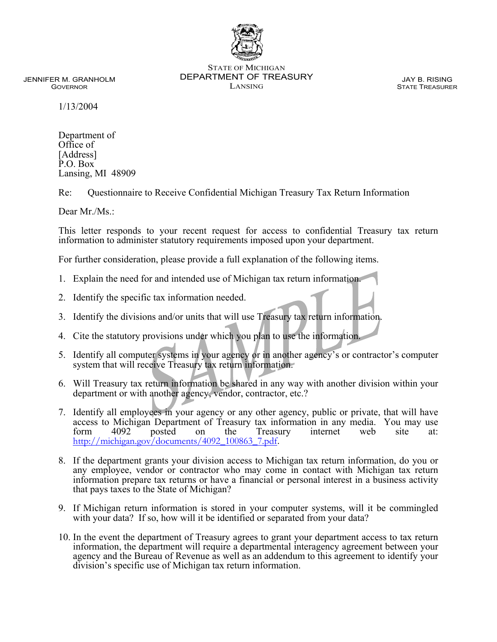

STATE OF MICHIGAN DEPARTMENT OF TREASURY LANSING

JAY B. RISING STATE TREASURER

JENNIFER M. GRANHOLM GOVERNOR

1/13/2004

Department of Office of [Address] P.O. Box Lansing, MI 48909

Re: Questionnaire to Receive Confidential Michigan Treasury Tax Return Information

Dear Mr./Ms.:

This letter responds to your recent request for access to confidential Treasury tax return information to administer statutory requirements imposed upon your department.

For further consideration, please provide a full explanation of the following items.

- 1. Explain the need for and intended use of Michigan tax return information.
- 2. Identify the specific tax information needed.
- 3. Identify the divisions and/or units that will use Treasury tax return information.
- 4. Cite the statutory provisions under which you plan to use the information.
- 5. Identify all computer systems in your agency or in another agency's or contractor's computer system that will receive Treasury tax return information.
- 6. Will Treasury tax return information be shared in any way with another division within your department or with another agency, vendor, contractor, etc.?
- 7. Identify all employees in your agency or any other agency, public or private, that will have access to Michigan Department of Treasury tax information in any media. You may use<br>form 4092 posted on the Treasury internet web site at: form 4092 posted on the Treasury internet web site at: [http://michigan.gov/documents/4092\\_100863\\_7.pdf](http://www.michigan.gov/documents/4092_100863_7.pdf).
- 8. If the department grants your division access to Michigan tax return information, do you or any employee, vendor or contractor who may come in contact with Michigan tax return information prepare tax returns or have a financial or personal interest in a business activity that pays taxes to the State of Michigan?
- 9. If Michigan return information is stored in your computer systems, will it be commingled with your data? If so, how will it be identified or separated from your data?
- 10. In the event the department of Treasury agrees to grant your department access to tax return information, the department will require a departmental interagency agreement between your agency and the Bureau of Revenue as well as an addendum to this agreement to identify your division's specific use of Michigan tax return information.